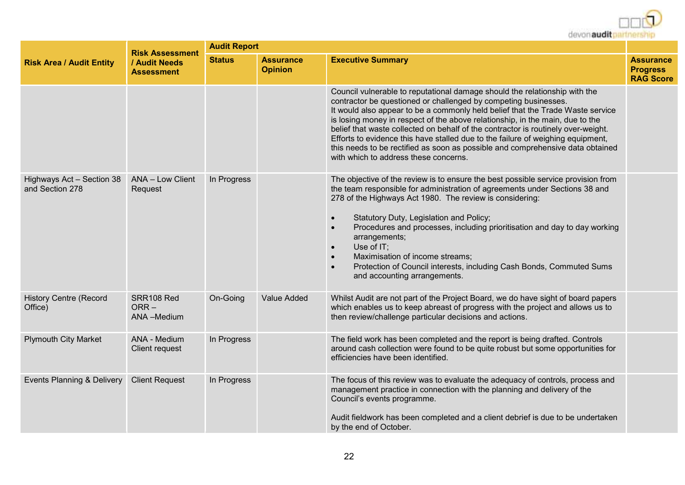

|                                              | <b>Risk Assessment</b>              | <b>Audit Report</b> |                                    |                                                                                                                                                                                                                                                                                                                                                                                                                                                                                                                                                                                                                     |                                                         |  |  |
|----------------------------------------------|-------------------------------------|---------------------|------------------------------------|---------------------------------------------------------------------------------------------------------------------------------------------------------------------------------------------------------------------------------------------------------------------------------------------------------------------------------------------------------------------------------------------------------------------------------------------------------------------------------------------------------------------------------------------------------------------------------------------------------------------|---------------------------------------------------------|--|--|
| <b>Risk Area / Audit Entity</b>              | / Audit Needs<br><b>Assessment</b>  | <b>Status</b>       | <b>Assurance</b><br><b>Opinion</b> | <b>Executive Summary</b>                                                                                                                                                                                                                                                                                                                                                                                                                                                                                                                                                                                            | <b>Assurance</b><br><b>Progress</b><br><b>RAG Score</b> |  |  |
|                                              |                                     |                     |                                    | Council vulnerable to reputational damage should the relationship with the<br>contractor be questioned or challenged by competing businesses.<br>It would also appear to be a commonly held belief that the Trade Waste service<br>is losing money in respect of the above relationship, in the main, due to the<br>belief that waste collected on behalf of the contractor is routinely over-weight.<br>Efforts to evidence this have stalled due to the failure of weighing equipment,<br>this needs to be rectified as soon as possible and comprehensive data obtained<br>with which to address these concerns. |                                                         |  |  |
| Highways Act - Section 38<br>and Section 278 | ANA - Low Client<br>Request         | In Progress         |                                    | The objective of the review is to ensure the best possible service provision from<br>the team responsible for administration of agreements under Sections 38 and<br>278 of the Highways Act 1980. The review is considering:<br>Statutory Duty, Legislation and Policy;<br>Procedures and processes, including prioritisation and day to day working<br>$\bullet$<br>arrangements;<br>Use of IT;<br>$\bullet$<br>Maximisation of income streams;<br>$\bullet$<br>Protection of Council interests, including Cash Bonds, Commuted Sums<br>$\bullet$<br>and accounting arrangements.                                  |                                                         |  |  |
| <b>History Centre (Record</b><br>Office)     | SRR108 Red<br>$ORR -$<br>ANA-Medium | On-Going            | Value Added                        | Whilst Audit are not part of the Project Board, we do have sight of board papers<br>which enables us to keep abreast of progress with the project and allows us to<br>then review/challenge particular decisions and actions.                                                                                                                                                                                                                                                                                                                                                                                       |                                                         |  |  |
| <b>Plymouth City Market</b>                  | ANA - Medium<br>Client request      | In Progress         |                                    | The field work has been completed and the report is being drafted. Controls<br>around cash collection were found to be quite robust but some opportunities for<br>efficiencies have been identified.                                                                                                                                                                                                                                                                                                                                                                                                                |                                                         |  |  |
| Events Planning & Delivery                   | <b>Client Request</b>               | In Progress         |                                    | The focus of this review was to evaluate the adequacy of controls, process and<br>management practice in connection with the planning and delivery of the<br>Council's events programme.<br>Audit fieldwork has been completed and a client debrief is due to be undertaken<br>by the end of October.                                                                                                                                                                                                                                                                                                               |                                                         |  |  |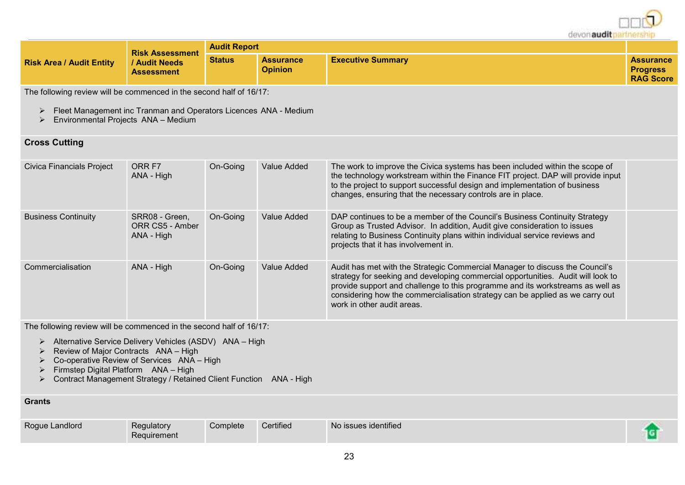devon audit partn

|                                 | <b>Risk Assessment</b>           | <b>Audit Report</b> |                                    |                          |                                                         |
|---------------------------------|----------------------------------|---------------------|------------------------------------|--------------------------|---------------------------------------------------------|
| <b>Risk Area / Audit Entity</b> | Audit Needs<br><b>Assessment</b> | <b>Status</b>       | <b>Assurance</b><br><b>Opinion</b> | <b>Executive Summary</b> | <b>Assurance</b><br><b>Progress</b><br><b>RAG Score</b> |

The following review will be commenced in the second half of 16/17:

- Fleet Management inc Tranman and Operators Licences ANA Medium
- $\triangleright$  Environmental Projects ANA Medium

### **Cross Cutting**

| Civica Financials Project  | ORR F7<br>ANA - High                            | On-Going | Value Added | The work to improve the Civica systems has been included within the scope of<br>the technology workstream within the Finance FIT project. DAP will provide input<br>to the project to support successful design and implementation of business<br>changes, ensuring that the necessary controls are in place.                                                     |  |
|----------------------------|-------------------------------------------------|----------|-------------|-------------------------------------------------------------------------------------------------------------------------------------------------------------------------------------------------------------------------------------------------------------------------------------------------------------------------------------------------------------------|--|
| <b>Business Continuity</b> | SRR08 - Green,<br>ORR CS5 - Amber<br>ANA - High | On-Going | Value Added | DAP continues to be a member of the Council's Business Continuity Strategy<br>Group as Trusted Advisor. In addition, Audit give consideration to issues<br>relating to Business Continuity plans within individual service reviews and<br>projects that it has involvement in.                                                                                    |  |
| Commercialisation          | ANA - High                                      | On-Going | Value Added | Audit has met with the Strategic Commercial Manager to discuss the Council's<br>strategy for seeking and developing commercial opportunities. Audit will look to<br>provide support and challenge to this programme and its workstreams as well as<br>considering how the commercialisation strategy can be applied as we carry out<br>work in other audit areas. |  |

The following review will be commenced in the second half of 16/17:

- Alternative Service Delivery Vehicles (ASDV) ANA High
- $\triangleright$  Review of Major Contracts  $ANA High$
- $\triangleright$  Co-operative Review of Services ANA High
- Firmstep Digital Platform ANA High
- Contract Management Strategy / Retained Client Function ANA High

#### **Grants**

| Roque Landlord | Regulatory<br>Requirement | Complete | Certified | No issues identified |  |
|----------------|---------------------------|----------|-----------|----------------------|--|
|                |                           |          |           |                      |  |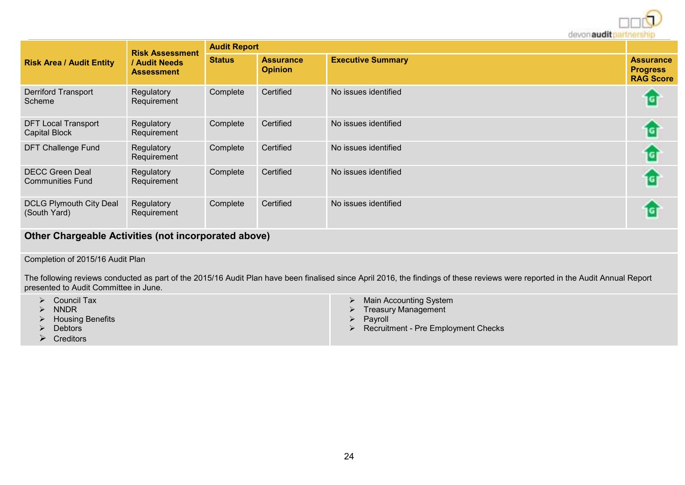devon audit no

|                                                      |                                                                   |                     |                                    | <b>UCYULIQUUIL</b>       | <b>MICROFILM</b>                                        |  |  |
|------------------------------------------------------|-------------------------------------------------------------------|---------------------|------------------------------------|--------------------------|---------------------------------------------------------|--|--|
| <b>Risk Area / Audit Entity</b>                      | <b>Risk Assessment</b><br><b>Audit Needs</b><br><b>Assessment</b> | <b>Audit Report</b> |                                    |                          |                                                         |  |  |
|                                                      |                                                                   | <b>Status</b>       | <b>Assurance</b><br><b>Opinion</b> | <b>Executive Summary</b> | <b>Assurance</b><br><b>Progress</b><br><b>RAG Score</b> |  |  |
| <b>Derriford Transport</b><br>Scheme                 | Regulatory<br>Requirement                                         | Complete            | Certified                          | No issues identified     | 1G)                                                     |  |  |
| <b>DFT Local Transport</b><br><b>Capital Block</b>   | Regulatory<br>Requirement                                         | Complete            | Certified                          | No issues identified     | iGi                                                     |  |  |
| <b>DFT Challenge Fund</b>                            | Regulatory<br>Requirement                                         | Complete            | Certified                          | No issues identified     | 1G)                                                     |  |  |
| <b>DECC Green Deal</b><br><b>Communities Fund</b>    | Regulatory<br>Requirement                                         | Complete            | Certified                          | No issues identified     | 1G                                                      |  |  |
| <b>DCLG Plymouth City Deal</b><br>(South Yard)       | Regulatory<br>Requirement                                         | Complete            | Certified                          | No issues identified     | 1G                                                      |  |  |
| Other Chargeable Activities (not incorporated shous) |                                                                   |                     |                                    |                          |                                                         |  |  |

## **Other Chargeable Activities (not incorporated above)**

#### Completion of 2015/16 Audit Plan

The following reviews conducted as part of the 2015/16 Audit Plan have been finalised since April 2016, the findings of these reviews were reported in the Audit Annual Report presented to Audit Committee in June.

| Council Tax<br>Main Accounting System<br>Treasury Management<br><b>NNDR</b><br><b>Housing Benefits</b><br>Pavroll<br>$\triangleright$ Recruitment - Pre Employment Checks<br><b>Debtors</b><br>Creditors |
|----------------------------------------------------------------------------------------------------------------------------------------------------------------------------------------------------------|
|----------------------------------------------------------------------------------------------------------------------------------------------------------------------------------------------------------|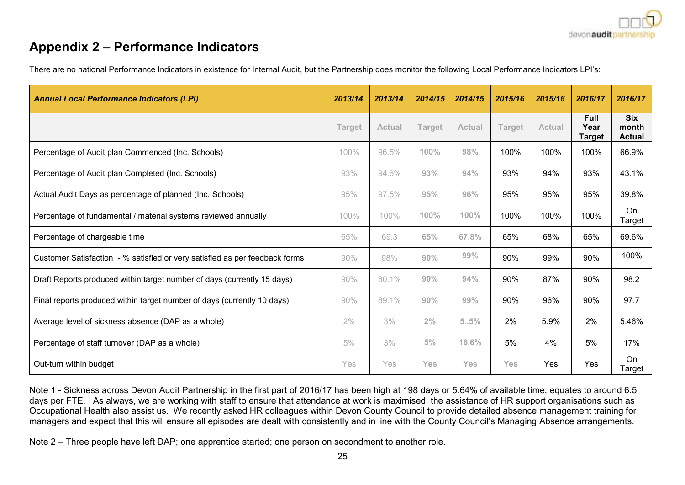# **Appendix 2 – Performance Indicators**

There are no national Performance Indicators in existence for Internal Audit, but the Partnership does monitor the following Local Performance Indicators LPI's:

| <b>Annual Local Performance Indicators (LPI)</b>                            | 2013/14       | 2013/14       | 2014/15       | 2014/15       | 2015/16       | 2015/16       | 2016/17                              | 2016/17                              |
|-----------------------------------------------------------------------------|---------------|---------------|---------------|---------------|---------------|---------------|--------------------------------------|--------------------------------------|
|                                                                             | <b>Target</b> | <b>Actual</b> | <b>Target</b> | <b>Actual</b> | <b>Target</b> | <b>Actual</b> | <b>Full</b><br>Year<br><b>Target</b> | <b>Six</b><br>month<br><b>Actual</b> |
| Percentage of Audit plan Commenced (Inc. Schools)                           | 100%          | 96.5%         | 100%          | 98%           | 100%          | 100%          | 100%                                 | 66.9%                                |
| Percentage of Audit plan Completed (Inc. Schools)                           | 93%           | 94.6%         | 93%           | 94%           | 93%           | 94%           | 93%                                  | 43.1%                                |
| Actual Audit Days as percentage of planned (Inc. Schools)                   | 95%           | 97.5%         | 95%           | 96%           | 95%           | 95%           | 95%                                  | 39.8%                                |
| Percentage of fundamental / material systems reviewed annually              | 100%          | 100%          | 100%          | 100%          | 100%          | 100%          | 100%                                 | On<br>Target                         |
| Percentage of chargeable time                                               | 65%           | 69.3          | 65%           | 67.8%         | 65%           | 68%           | 65%                                  | 69.6%                                |
| Customer Satisfaction - % satisfied or very satisfied as per feedback forms | 90%           | 98%           | 90%           | 99%           | 90%           | 99%           | 90%                                  | 100%                                 |
| Draft Reports produced within target number of days (currently 15 days)     | 90%           | 80.1%         | 90%           | 94%           | 90%           | 87%           | 90%                                  | 98.2                                 |
| Final reports produced within target number of days (currently 10 days)     | 90%           | 89.1%         | 90%           | 99%           | 90%           | 96%           | 90%                                  | 97.7                                 |
| Average level of sickness absence (DAP as a whole)                          | $2\%$         | 3%            | 2%            | 5.5%          | 2%            | 5.9%          | 2%                                   | 5.46%                                |
| Percentage of staff turnover (DAP as a whole)                               | 5%            | 3%            | 5%            | 16.6%         | 5%            | 4%            | 5%                                   | 17%                                  |
| Out-turn within budget                                                      | Yes           | Yes           | <b>Yes</b>    | Yes           | Yes           | Yes           | Yes                                  | On<br>Target                         |

Note 1 - Sickness across Devon Audit Partnership in the first part of 2016/17 has been high at 198 days or 5.64% of available time; equates to around 6.5 days per FTE. As always, we are working with staff to ensure that attendance at work is maximised; the assistance of HR support organisations such as Occupational Health also assist us. We recently asked HR colleagues within Devon County Council to provide detailed absence management training for managers and expect that this will ensure all episodes are dealt with consistently and in line with the County Council's Managing Absence arrangements.

Note 2 – Three people have left DAP; one apprentice started; one person on secondment to another role.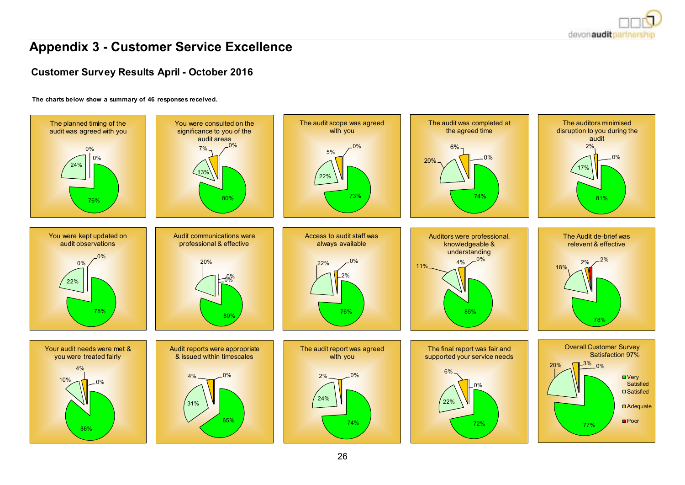

# **Appendix 3 - Customer Service Excellence**

## **Customer Survey Results April - October 2016**

#### **The charts below show a summary of 46 responses received.**